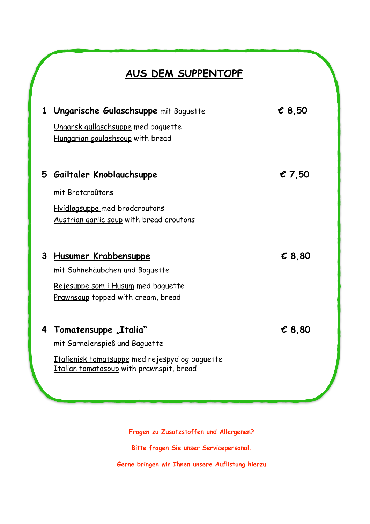# **AUS DEM SUPPENTOPF**

| 1 | Ungarische Gulaschsuppe mit Baguette                                                                       | € 8,50          |  |
|---|------------------------------------------------------------------------------------------------------------|-----------------|--|
|   | Ungarsk gullaschsuppe med baguette<br>Hungarian goulashsoup with bread                                     |                 |  |
| 5 | <u> Gailtaler Knoblauchsuppe</u>                                                                           | $\epsilon$ 7.50 |  |
|   | mit Brotcroûtons                                                                                           |                 |  |
|   | Hvidløgsuppe med brødcroutons<br>Austrian garlic soup with bread croutons                                  |                 |  |
| 3 | Husumer Krabbensuppe                                                                                       | € 8,80          |  |
|   | mit Sahnehäubchen und Baquette<br>Rejesuppe som i Husum med baguette<br>Prawnsoup topped with cream, bread |                 |  |
|   |                                                                                                            |                 |  |
| 4 | <u>Tomatensuppe "Italia"</u><br>mit Garnelenspieß und Baguette                                             | $\epsilon$ 8,80 |  |
|   | <u>Italienisk tomatsuppe</u> med rejespyd og baguette<br>Italian tomatosoup with prawnspit, bread          |                 |  |
|   |                                                                                                            |                 |  |

**Fragen zu Zusatzstoffen und Allergenen?**

**Bitte fragen Sie unser Servicepersonal.**

**Gerne bringen wir Ihnen unsere Auflistung hierzu**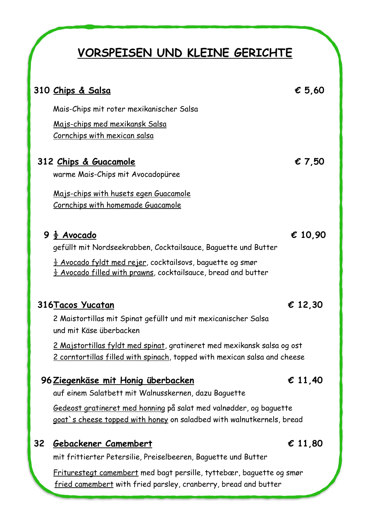# **VORSPEISEN UND KLEINE GERICHTE**

|    | 310 Chips & Salsa                                                                                                                                    | $\epsilon$ 5,60  |
|----|------------------------------------------------------------------------------------------------------------------------------------------------------|------------------|
|    | Mais-Chips mit roter mexikanischer Salsa                                                                                                             |                  |
|    | Majs-chips med mexikansk Salsa<br><u>Cornchips with mexican salsa</u>                                                                                |                  |
|    | 312 Chips & Guacamole                                                                                                                                | € 7,50           |
|    | warme Mais-Chips mit Avocadopüree                                                                                                                    |                  |
|    | <u> Majs-chips with husets egen Guacamole</u><br><u>Cornchips with homemade Guacamole</u>                                                            |                  |
|    | $9\frac{1}{2}$ Avocado<br>gefüllt mit Nordseekrabben, Cocktailsauce, Baguette und Butter                                                             | € 10,90          |
|    | $\frac{1}{2}$ Avocado fyldt med rejer, cocktailsovs, baguette og smør<br>$\frac{1}{2}$ Avocado filled with prawns, cocktailsauce, bread and butter   |                  |
|    | 316 Tacos Yucatan                                                                                                                                    | $\epsilon$ 12,30 |
|    | 2 Maistortillas mit Spinat gefüllt und mit mexicanischer Salsa<br>und mit Käse überbacken                                                            |                  |
|    | 2 Majstortillas fyldt med spinat, gratineret med mexikansk salsa og ost<br>2 corntortillas filled with spinach, topped with mexican salsa and cheese |                  |
|    | <u>96 Ziegenkäse mit Honig überbacken</u><br>auf einem Salatbett mit Walnusskernen, dazu Baguette                                                    | $\epsilon$ 11,40 |
|    | Gedeost gratineret med honning på salat med valnødder, og baguette<br>goat's cheese topped with honey on saladbed with walnutkernels, bread          |                  |
| 32 | Gebackener Camembert                                                                                                                                 | € 11,80          |
|    | mit frittierter Petersilie, Preiselbeeren, Baguette und Butter                                                                                       |                  |
|    | Eniturectect comembert med best pensille tyttebon bequette es cman                                                                                   |                  |

Friturestegt camembert med bagt persille, tyttebær, baguette og smør fried camembert with fried parsley, cranberry, bread and butter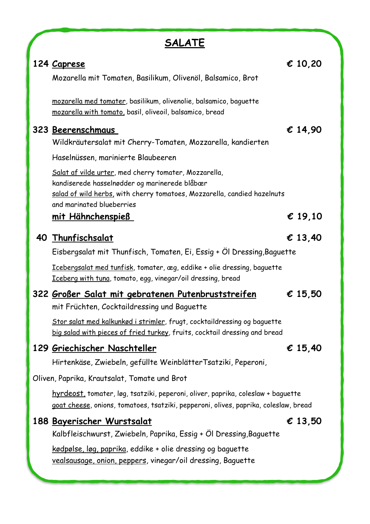| А<br>۱ı<br>ے<br>, | $\mathbf{L}$<br>L<br>L |
|-------------------|------------------------|
|                   |                        |

| 124 Caprese                                                                                                                                                                                                     | € 10,20          |
|-----------------------------------------------------------------------------------------------------------------------------------------------------------------------------------------------------------------|------------------|
| Mozarella mit Tomaten, Basilikum, Olivenöl, Balsamico, Brot                                                                                                                                                     |                  |
| mozarella med tomater, basilikum, olivenolie, balsamico, baguette<br>mozarella with tomato, basil, oliveoil, balsamico, bread                                                                                   |                  |
| 323 Beerenschmaus<br>Wildkräutersalat mit Cherry-Tomaten, Mozzarella, kandierten                                                                                                                                | € 14,90          |
| Haselnüssen, marinierte Blaubeeren                                                                                                                                                                              |                  |
| Salat af vilde urter, med cherry tomater, Mozzarella,<br>kandiserede hasselnødder og marinerede blåbær<br>salad of wild herbs, with cherry tomatoes, Mozzarella, candied hazelnuts<br>and marinated blueberries |                  |
| <u>mit Hähnchenspieß</u>                                                                                                                                                                                        | $\epsilon$ 19,10 |
| 40 Thunfischsalat                                                                                                                                                                                               | $\epsilon$ 13,40 |
| Eisbergsalat mit Thunfisch, Tomaten, Ei, Essig + Öl Dressing, Baguette                                                                                                                                          |                  |
| Icebergsalat med tunfisk, tomater, æg, eddike + olie dressing, baguette<br>Iceberg with tuna, tomato, egg, vinegar/oil dressing, bread                                                                          |                  |
| 322 Großer Salat mit gebratenen Putenbruststreifen<br>mit Früchten, Cocktaildressing und Baguette                                                                                                               | € 15,50          |
| Stor salat med kalkunkød i strimler, frugt, cocktaildressing og baguette<br>big salad with pieces of fried turkey, fruits, cocktail dressing and bread                                                          |                  |
| 129 Griechischer Naschteller                                                                                                                                                                                    | € 15,40          |
| Hirtenkäse, Zwiebeln, gefüllte WeinblätterTsatziki, Peperoni,                                                                                                                                                   |                  |
| Oliven, Paprika, Krautsalat, Tomate und Brot                                                                                                                                                                    |                  |
| hyrdeost, tomater, løg, tsatziki, peperoni, oliver, paprika, coleslaw + baguette<br>goat cheese, onions, tomatoes, tsatziki, pepperoni, olives, paprika, coleslaw, bread                                        |                  |
| <u>188 Bayerischer Wurstsalat</u><br>Kalbfleischwurst, Zwiebeln, Paprika, Essig + Ol Dressing,Baguette                                                                                                          | € 13,50          |
| <u>kødpølse, løg, paprika,</u> eddike + olie dressing og baguette<br>vealsausage, onion, peppers, vinegar/oil dressing, Baguette                                                                                |                  |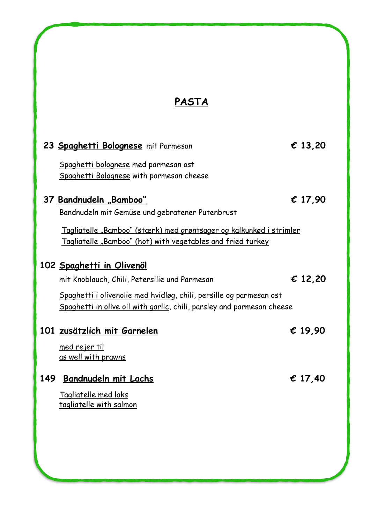# **PASTA**

|     | 23 Spaghetti Bolognese mit Parmesan                                                                                                                                                                                           | $\epsilon$ 13,20 |
|-----|-------------------------------------------------------------------------------------------------------------------------------------------------------------------------------------------------------------------------------|------------------|
|     | Spaghetti bolognese med parmesan ost<br>Spaghetti Bolognese with parmesan cheese                                                                                                                                              |                  |
|     | 37 Bandnudeln "Bamboo"<br>Bandnudeln mit Gemüse und gebratener Putenbrust<br><u>Tagliatelle "Bamboo" (stærk) med grøntsager og kalkunkød i strimler</u><br><u>Tagliatelle "Bamboo" (hot) with vegetables and fried turkey</u> | € 17,90          |
|     | 102 Spaghetti in Olivenöl<br>mit Knoblauch, Chili, Petersilie und Parmesan<br>Spaghetti i olivenolie med hvidløg, chili, persille og parmesan ost<br>Spaghetti in olive oil with garlic, chili, parsley and parmesan cheese   | € 12,20          |
|     | 101 zusätzlich mit Garnelen<br><u>med rejer til</u><br>as well with prawns                                                                                                                                                    | € 19,90          |
| 149 | Bandnudeln mit Lachs<br>Tagliatelle med laks<br>tagliatelle with salmon                                                                                                                                                       | € 17,40          |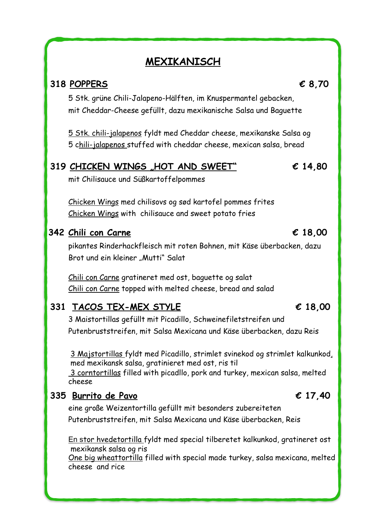# **MEXIKANISCH**

### **318 POPPERS € 8,70**

5 Stk. grüne Chili-Jalapeno-Hälften, im Knuspermantel gebacken, mit Cheddar-Cheese gefüllt, dazu mexikanische Salsa und Baguette

5 Stk. chili-jalapenos fyldt med Cheddar cheese, mexikanske Salsa og 5 chili-jalapenos stuffed with cheddar cheese, mexican salsa, bread

### **319 CHICKEN WINGS "HOT AND SWEET" € 14,80**

mit Chilisauce und Süßkartoffelpommes

Chicken Wings med chilisovs og sød kartofel pommes frites Chicken Wings with chilisauce and sweet potato fries

### **342 Chili con Carne € 18,00**

pikantes Rinderhackfleisch mit roten Bohnen, mit Käse überbacken, dazu Brot und ein kleiner "Mutti" Salat

Chili con Carne gratineret med ost, baguette og salat

| Chili con Carne topped with melted cheese, bread and salad                                                                                                                                                                   |                  |  |  |
|------------------------------------------------------------------------------------------------------------------------------------------------------------------------------------------------------------------------------|------------------|--|--|
| 331 TACOS TEX-MEX STYLE                                                                                                                                                                                                      | $\epsilon$ 18,00 |  |  |
| 3 Maistortillas gefüllt mit Picadillo, Schweinefiletstreifen und                                                                                                                                                             |                  |  |  |
| Putenbruststreifen, mit Salsa Mexicana und Käse überbacken, dazu Reis                                                                                                                                                        |                  |  |  |
| 3 Majstortillas fyldt med Picadillo, strimlet svinekod og strimlet kalkunkod,<br>med mexikansk salsa, gratinieret med ost, ris til<br>3 corntortillas filled with picadllo, pork and turkey, mexican salsa, melted<br>cheese |                  |  |  |
| 335 Burrito de Pavo                                                                                                                                                                                                          | € 17,40          |  |  |
| eine große Weizentortilla gefüllt mit besonders zubereiteten                                                                                                                                                                 |                  |  |  |
| Putenbruststreifen, mit Salsa Mexicana und Käse überbacken, Reis                                                                                                                                                             |                  |  |  |
| En stor hvedetortilla fyldt med special tilberetet kalkunkod, gratineret ost                                                                                                                                                 |                  |  |  |

mexikansk salsa og ris

One big wheattortilla filled with special made turkey, salsa mexicana, melted cheese and rice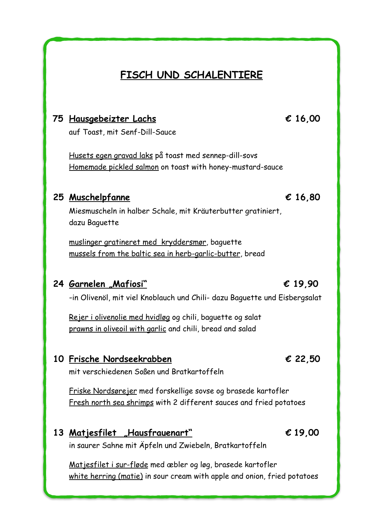# **FISCH UND SCHALENTIERE**

### **75 Hausgebeizter Lachs € 16,00**

auf Toast, mit Senf-Dill-Sauce

Husets egen gravad laks på toast med sennep-dill-sovs Homemade pickled salmon on toast with honey-mustard-sauce

### **25 Muschelpfanne € 16,80**

Miesmuscheln in halber Schale, mit Kräuterbutter gratiniert, dazu Baguette

muslinger gratineret med kryddersmør, baguette mussels from the baltic sea in herb-garlic-butter, bread

### **24 Garnelen "Mafiosi" € 19,90**

-in Olivenöl, mit viel Knoblauch und Chili- dazu Baguette und Eisbergsalat

Rejer i olivenolie med hvidløg og chili, baguette og salat prawns in oliveoil with garlic and chili, bread and salad

### **10 Frische Nordseekrabben € 22,50**

mit verschiedenen Soßen und Bratkartoffeln

Friske Nordsørejer med forskellige sovse og brasede kartofler Fresh north sea shrimps with 2 different sauces and fried potatoes

### **13 Matjesfilet "Hausfrauenart" € 19,00**

in saurer Sahne mit Äpfeln und Zwiebeln, Bratkartoffeln

Matjesfilet i sur-fløde med æbler og løg, brasede kartofler white herring (matie) in sour cream with apple and onion, fried potatoes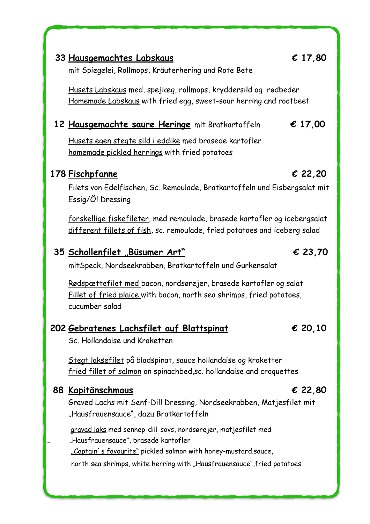### **33 Hausgemachtes Labskaus € 17,80**

mit Spiegelei, Rollmops, Kräuterhering und Rote Bete

Husets Labskaus med, spejlæg, rollmops, kryddersild og rødbeder Homemade Labskaus with fried egg, sweet-sour herring and rootbeet

### **12 Hausgemachte saure Heringe** mit Bratkartoffeln **€ 17,00**

Husets egen stegte sild i eddike med brasede kartofler homemade pickled herrings with fried potatoes

### **178 Fischpfanne € 22,20**

Filets von Edelfischen, Sc. Remoulade, Bratkartoffeln und Eisbergsalat mit Essig/Öl Dressing

forskellige fiskefileter, med remoulade, brasede kartofler og icebergsalat different fillets of fish, sc. remoulade, fried potatoes and iceberg salad

### **35 Schollenfilet "Büsumer Art" € 23,70**

mitSpeck, Nordseekrabben, Bratkartoffeln und Gurkensalat

 Rødspættefilet med bacon, nordsørejer, brasede kartofler og salat Fillet of fried plaice with bacon, north sea shrimps, fried potatoes, cucumber salad

### **<sup>202</sup> Gebratenes Lachsfilet auf Blattspinat € 20,10**

Sc. Hollandaise und Kroketten

Stegt laksefilet på bladspinat, sauce hollandaise og kroketter fried fillet of salmon on spinachbed,sc. hollandaise and croquettes

### **88 Kapitänschmaus € 22,80**

Graved Lachs mit Senf-Dill Dressing, Nordseekrabben, Matjesfilet mit "Hausfrauensauce", dazu Bratkartoffeln

gravad laks med sennep-dill-sovs, nordsørejer, matjesfilet med "Hausfrauensauce", brasede kartofler

"Captain's favourite" pickled salmon with honey-mustard.sauce,

north sea shrimps, white herring with "Hausfrauensauce", fried potatoes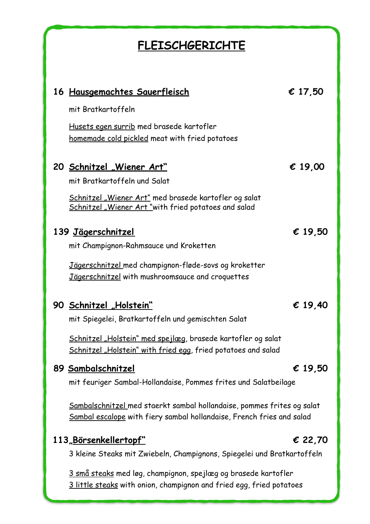# **FLEISCHGERICHTE**

| <u> 16 Hausgemachtes Sauerfleisch</u>                                                                                                           | € 17,50          |
|-------------------------------------------------------------------------------------------------------------------------------------------------|------------------|
| mit Bratkartoffeln                                                                                                                              |                  |
| Husets egen surrib med brasede kartofler<br>homemade cold pickled meat with fried potatoes                                                      |                  |
| 20 Schnitzel "Wiener Art"                                                                                                                       | € 19,00          |
| mit Bratkartoffeln und Salat                                                                                                                    |                  |
| Schnitzel "Wiener Art" med brasede kartofler og salat<br>Schnitzel "Wiener Art"with fried potatoes and salad                                    |                  |
| <u> 139 Jägerschnitzel</u>                                                                                                                      | € 19,50          |
| mit Champignon-Rahmsauce und Kroketten                                                                                                          |                  |
| Jägerschnitzel med champignon-fløde-sovs og kroketter<br>Jägerschnitzel with mushroomsauce and croquettes                                       |                  |
| 90 Schnitzel "Holstein"                                                                                                                         | € 19,40          |
| mit Spiegelei, Bratkartoffeln und gemischten Salat                                                                                              |                  |
| Schnitzel "Holstein" med spejlæg, brasede kartofler og salat<br>Schnitzel "Holstein" with fried egg, fried potatoes and salad                   |                  |
| 89 Sambalschnitzel                                                                                                                              | $\epsilon$ 19,50 |
| mit feuriger Sambal-Hollandaise, Pommes frites und Salatbeilage                                                                                 |                  |
| Sambalschnitzel med staerkt sambal hollandaise, pommes frites og salat<br>Sambal escalope with fiery sambal hollandaise, French fries and salad |                  |
| 113, Börsenkellertopf"                                                                                                                          | € 22,70          |
| 3 kleine Steaks mit Zwiebeln, Champignons, Spiegelei und Bratkartoffeln                                                                         |                  |
| 3 små steaks med løg, champignon, spejlæg og brasede kartofler<br>3 little steaks with onion, champignon and fried egg, fried potatoes          |                  |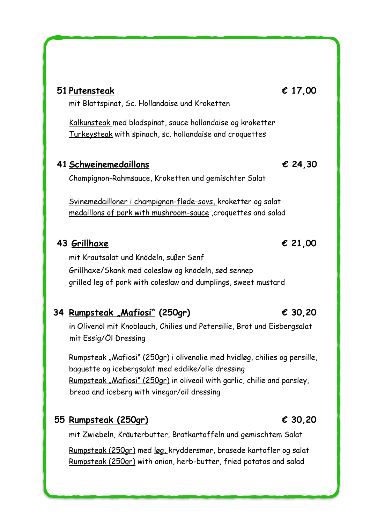| 51 Putensteak<br>mit Blattspinat, Sc. Hollandaise und Kroketten                                                                      | € 17,00 |
|--------------------------------------------------------------------------------------------------------------------------------------|---------|
| Kalkunsteak med bladspinat, sauce hollandaise og kroketter<br>Turkeysteak with spinach, sc. hollandaise and croquettes               |         |
| 41 Schweinemedaillons                                                                                                                | € 24,30 |
| Champignon-Rahmsauce, Kroketten und gemischter Salat                                                                                 |         |
| Svinemedailloner i champignon-fløde-sovs, kroketter og salat<br><u>medaillons of pork with mushroom-sauce</u> , croquettes and salad |         |
| 43 Grillhaxe                                                                                                                         | € 21,00 |
| mit Krautsalat und Knödeln, süßer Senf                                                                                               |         |
| Grillhaxe/Skank med coleslaw og knödeln, sød sennep<br><u>grilled leg of pork</u> with coleslaw and dumplings, sweet mustard         |         |
| Rumpsteak "Mafiosi" (250gr)<br>34                                                                                                    | € 30,20 |

### in Olivenöl mit Knoblauch, Chilies und Petersilie, Brot und Eisbergsalat mit Essig/Öl Dressing

Rumpsteak "Mafiosi" (250gr) i olivenolie med hvidløg, chilies og persille, baguette og icebergsalat med eddike/olie dressing Rumpsteak "Mafiosi" (250gr) in oliveoil with garlic, chilie and parsley, bread and iceberg with vinegar/oil dressing

### **55 Rumpsteak (250gr) € 30,20**

mit Zwiebeln, Kräuterbutter, Bratkartoffeln und gemischtem Salat

Rumpsteak (250gr) med løg, kryddersmør, brasede kartofler og salat Rumpsteak (250gr) with onion, herb-butter, fried potatos and salad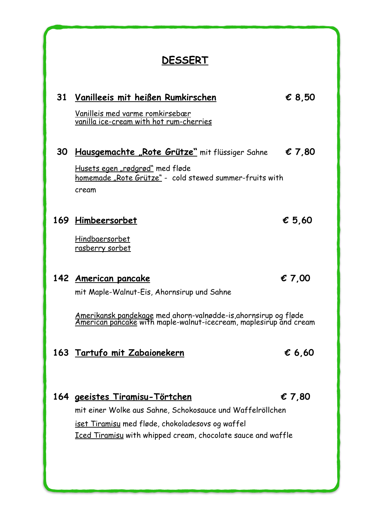# **DESSERT**

 **31 Vanilleeis mit heißen Rumkirschen € 8,50**

# Vanilleis med varme romkirsebær vanilla ice-cream with hot rum-cherries  **30 Hausgemachte "Rote Grütze"** mit flüssiger Sahne € **7,80** Husets egen "rødgrød" med fløde homemade "Rote Grütze" - cold stewed summer-fruits with cream **169 Himbeersorbet € 5,60** Hindbaersorbet rasberry sorbet **142 American pancake € 7,00** mit Maple-Walnut-Eis, Ahornsirup und Sahne Amerikansk pandekage med ahorn-valnødde-is,ahornsirup og fløde<br>American pancake with maple-walnut-icecream, maplesirup and cream **163 Tartufo mit Zabaionekern € 6,60 164 geeistes Tiramisu-Törtchen € 7,80**

mit einer Wolke aus Sahne, Schokosauce und Waffelröllchen iset Tiramisu med fløde, chokoladesovs og waffel Iced Tiramisu with whipped cream, chocolate sauce and waffle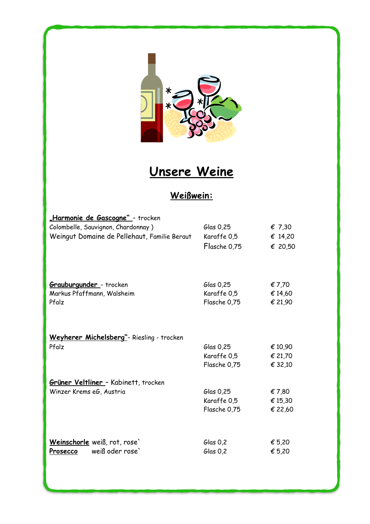

# **Unsere Weine**

# **Weißwein:**

| <u>"Harmonie de Gascogne" -</u> trocken      |              |                 |
|----------------------------------------------|--------------|-----------------|
| Colombelle, Sauvignon, Chardonnay)           | Glas 0,25    | $\epsilon$ 7,30 |
| Weingut Domaine de Pellehaut, Familie Beraut | Karaffe 0,5  | € 14,20         |
|                                              | Flasche 0,75 | € 20,50         |
|                                              |              |                 |
| <b>Grauburgunder</b> - trocken               | Glas 0,25    | € 7,70          |
| Markus Pfaffmann, Walsheim                   | Karaffe 0,5  | €14,60          |
| Pfalz                                        | Flasche 0,75 | € 21,90         |
|                                              |              |                 |
| Weyherer Michelsberg"- Riesling - trocken    |              |                 |
| Pfalz                                        | Glas 0,25    | € 10,90         |
|                                              | Karaffe 0,5  | € 21,70         |
|                                              | Flasche 0,75 | € 32,10         |
| Grüner Veltliner - Kabinett, trocken         |              |                 |
| Winzer Krems eG, Austria                     | Glas 0,25    | €7,80           |
|                                              | Karaffe 0,5  | € 15,30         |
|                                              | Flasche 0,75 | € 22,60         |
|                                              |              |                 |
| Weinschorle weiß, rot, rose`                 | $G$ las 0,2  | € 5,20          |
| weiß oder rose'<br>Prosecco                  | $G$ las 0,2  | € 5,20          |
|                                              |              |                 |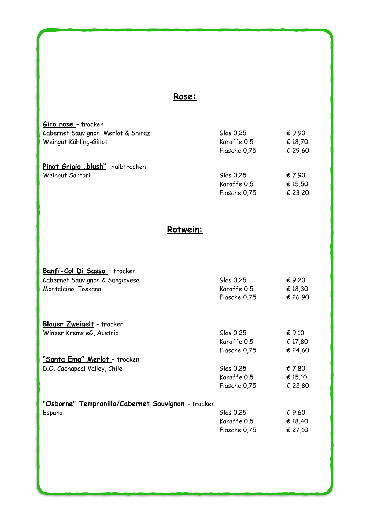### **Rose:**

| Giro rose - trocken                 |              |         |
|-------------------------------------|--------------|---------|
| Cabernet Sauvignon, Merlot & Shiraz | Glas $0.25$  | €9,90   |
| Weingut Kühling-Gillot              | Karaffe 0,5  | € 18,70 |
|                                     | Flasche 0,75 | € 29,60 |
| Pinot Grigio "blush"- halbtrocken   |              |         |
| Weingut Sartori                     | Glas 0,25    | €7,90   |
|                                     | Karaffe 0,5  | € 15,50 |
|                                     | Flasche 0,75 | € 23,20 |

### **Rotwein:**

| Banfi-Col Di Sasso - trocken                       |              |         |
|----------------------------------------------------|--------------|---------|
| Cabernet Sauvignon & Sangiovese                    | Glas 0,25    | €9,20   |
| Montalcino, Toskana                                | Karaffe 0,5  | € 18,30 |
|                                                    | Flasche 0,75 | € 26,90 |
|                                                    |              |         |
| <b>Blauer Zweigelt</b> - trocken                   |              |         |
| Winzer Krems eG, Austria                           | Glas 0,25    | € 9,10  |
|                                                    | Karaffe 0,5  | € 17,80 |
|                                                    | Flasche 0,75 | € 24,60 |
| <u>"Santa Ema" Merlot - trocken</u>                |              |         |
| D.O. Cachapoal Valley, Chile                       | Glas 0,25    | € 7,80  |
|                                                    | Karaffe 0,5  | € 15,10 |
|                                                    | Flasche 0,75 | € 22,80 |
| "Osborne" Tempranillo/Cabernet Sauvignon - trocken |              |         |
| Espana                                             | Glas 0,25    | €9,60   |
|                                                    | Karaffe 0,5  | € 18,40 |
|                                                    | Flasche 0,75 | € 27,10 |
|                                                    |              |         |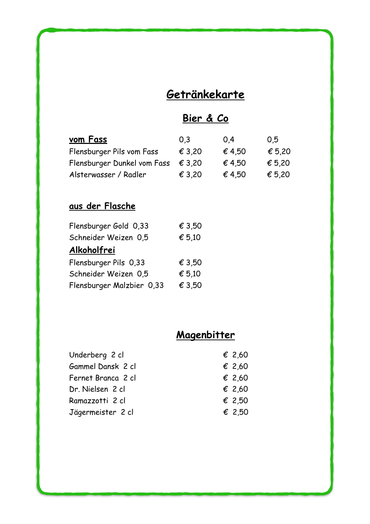# **Getränkekarte**

# **Bier & Co**

| vom Fass                    | 0,3             | 0.4    | 0.5    |
|-----------------------------|-----------------|--------|--------|
| Flensburger Pils vom Fass   | $\epsilon$ 3,20 | € 4.50 | € 5,20 |
| Flensburger Dunkel vom Fass | $\epsilon$ 3.20 | € 4,50 | € 5,20 |
| Alsterwasser / Radler       | $\epsilon$ 3,20 | € 4,50 | € 5,20 |

# **aus der Flasche**

| € 3,50 |
|--------|
| € 5,10 |
|        |
| € 3,50 |
| € 5,10 |
| € 3,50 |
|        |

# **Magenbitter**

| Underberg 2 cl     | € 2,60          |
|--------------------|-----------------|
| Gammel Dansk 2 cl  | $\epsilon$ 2,60 |
| Fernet Branca 2 cl | $\epsilon$ 2,60 |
| Dr. Nielsen 2 cl   | $\epsilon$ 2.60 |
| Ramazzotti 2 cl    | € 2,50          |
| Jägermeister 2 cl  | € 2,50          |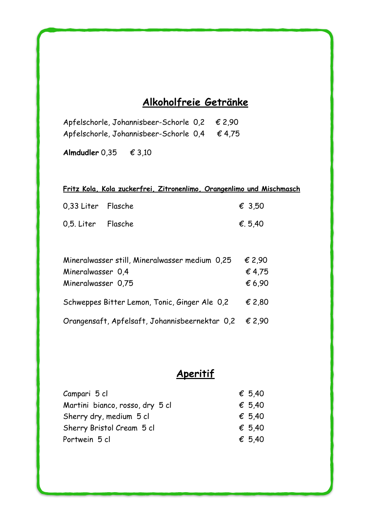# **Alkoholfreie Getränke**

| Apfelschorle, Johannisbeer-Schorle 0,2 € 2,90       |  |
|-----------------------------------------------------|--|
| Apfelschorle, Johannisbeer-Schorle $0,4$ $\in$ 4,75 |  |

**Almdudler** 0,35 € 3,10

|                    | Fritz Kola, Kola zuckerfrei, Zitronenlimo, Orangenlimo und Mischmasch |                 |
|--------------------|-----------------------------------------------------------------------|-----------------|
| 0.33 Liter Flasche |                                                                       | $\epsilon$ 3.50 |
| 0,5. Liter Flasche |                                                                       | €, 5,40         |

| Mineralwasser still, Mineralwasser medium 0,25        | € 2,90          |
|-------------------------------------------------------|-----------------|
| Mineralwasser 0,4                                     | € 4,75          |
| Mineralwasser 0,75                                    | € 6,90          |
|                                                       |                 |
| Schweppes Bitter Lemon, Tonic, Ginger Ale 0,2         | $\epsilon$ 2,80 |
| Orangensaft, Apfelsaft, Johannisbeernektar 0,2 € 2,90 |                 |

# **Aperitif**

| Campari 5 cl                    | $\epsilon$ 5,40 |
|---------------------------------|-----------------|
| Martini bianco, rosso, dry 5 cl | $\epsilon$ 5.40 |
| Sherry dry, medium 5 cl         | $\epsilon$ 5.40 |
| Sherry Bristol Cream 5 cl       | € 5.40          |
| Portwein 5 cl                   | $\epsilon$ 5.40 |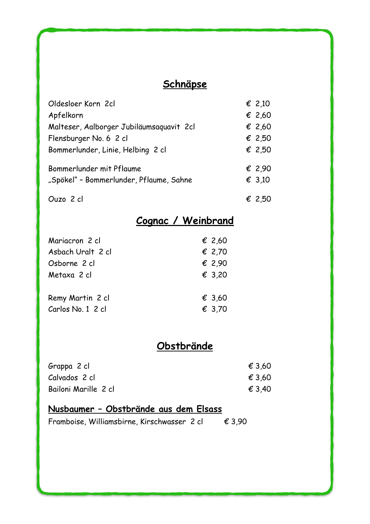# **Schnäpse**

| Oldesloer Korn 2cl                       | $\epsilon$ 2,10 |
|------------------------------------------|-----------------|
| Apfelkorn                                | € 2,60          |
| Malteser, Aalborger Jubiläumsaquavit 2cl | € 2,60          |
| Flensburger No. 6 2 cl                   | € 2,50          |
| Bommerlunder, Linie, Helbing 2 cl        | € 2,50          |
| Bommerlunder mit Pflaume                 | $\epsilon$ 2,90 |
| "Spökel" - Bommerlunder, Pflaume, Sahne  | $\epsilon$ 3,10 |
| Ouzo 2 cl                                | € 2,50          |

# **Cognac / Weinbrand**

| Mariacron 2 cl    | € 2,60          |
|-------------------|-----------------|
| Asbach Uralt 2 cl | $\epsilon$ 2,70 |
| Osborne 2 cl      | $\epsilon$ 2,90 |
| Metaxa 2 cl       | $\epsilon$ 3,20 |
| Remy Martin 2 cl  | € 3.60          |
| Carlos No. 1 2 cl | € 3.70          |

# **Obstbrände**

| Grappa 2 cl          | € 3.60 |
|----------------------|--------|
| Calvados 2 cl        | € 3.60 |
| Bailoni Marille 2 cl | € 3.40 |

## **Nusbaumer – Obstbrände aus dem Elsass**

|  | Framboise, Williamsbirne, Kirschwasser 2 cl |  |  |  | € 3,90 |
|--|---------------------------------------------|--|--|--|--------|
|--|---------------------------------------------|--|--|--|--------|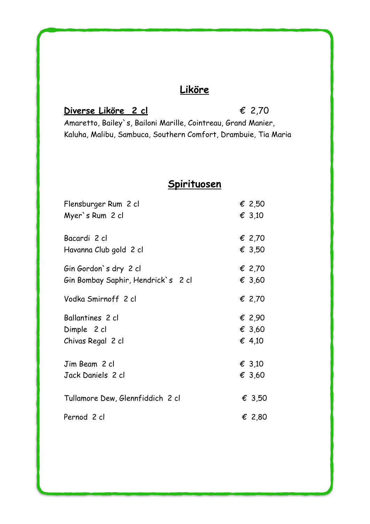# **Liköre**

### **Diverse Liköre 2 cl** € 2,70

Amaretto, Bailey`s, Bailoni Marille, Cointreau, Grand Manier, Kaluha, Malibu, Sambuca, Southern Comfort, Drambuie, Tia Maria

# **Spirituosen**

| Flensburger Rum 2 cl               | € 2,50 |
|------------------------------------|--------|
| Myer's Rum 2 cl                    | € 3,10 |
| Bacardi 2 cl                       | € 2,70 |
| Havanna Club gold 2 cl             | € 3,50 |
| Gin Gordon's dry 2 cl              | € 2,70 |
| Gin Bombay Saphir, Hendrick`s 2 cl | € 3,60 |
| Vodka Smirnoff 2 cl                | € 2,70 |
| Ballantines 2 cl                   | € 2,90 |
| Dimple 2 cl                        | € 3,60 |
| Chivas Regal 2 cl                  | € 4,10 |
| Jim Beam 2 cl                      | € 3,10 |
| Jack Daniels 2 cl                  | € 3,60 |
| Tullamore Dew, Glennfiddich 2 cl   | € 3,50 |
| Pernod 2 cl                        | € 2,80 |